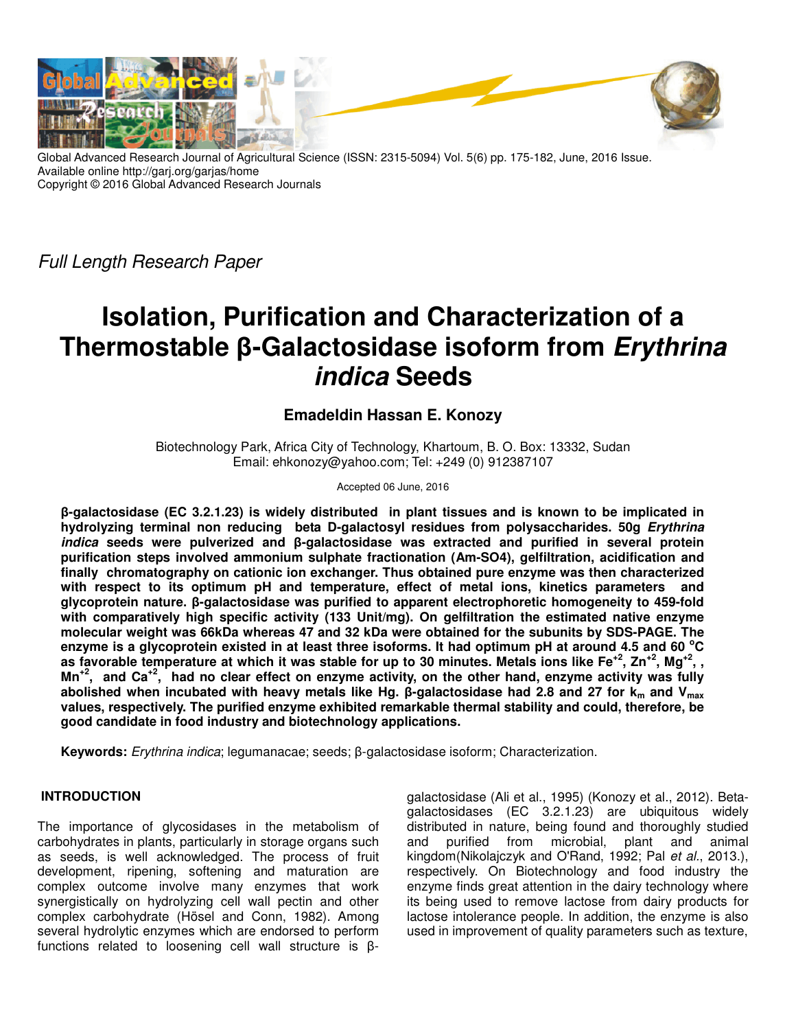

Global Advanced Research Journal of Agricultural Science (ISSN: 2315-5094) Vol. 5(6) pp. 175-182, June, 2016 Issue. Available online http://garj.org/garjas/home Copyright © 2016 Global Advanced Research Journals

Full Length Research Paper

# **Isolation, Purification and Characterization of a Thermostable β-Galactosidase isoform from Erythrina indica Seeds**

# **Emadeldin Hassan E. Konozy**

Biotechnology Park, Africa City of Technology, Khartoum, B. O. Box: 13332, Sudan Email: ehkonozy@yahoo.com; Tel: +249 (0) 912387107

#### Accepted 06 June, 2016

**β-galactosidase (EC 3.2.1.23) is widely distributed in plant tissues and is known to be implicated in hydrolyzing terminal non reducing beta D-galactosyl residues from polysaccharides. 50g Erythrina indica seeds were pulverized and β-galactosidase was extracted and purified in several protein purification steps involved ammonium sulphate fractionation (Am-SO4), gelfiltration, acidification and finally chromatography on cationic ion exchanger. Thus obtained pure enzyme was then characterized with respect to its optimum pH and temperature, effect of metal ions, kinetics parameters and glycoprotein nature. β-galactosidase was purified to apparent electrophoretic homogeneity to 459-fold with comparatively high specific activity (133 Unit/mg). On gelfiltration the estimated native enzyme molecular weight was 66kDa whereas 47 and 32 kDa were obtained for the subunits by SDS-PAGE. The enzyme is a glycoprotein existed in at least three isoforms. It had optimum pH at around 4.5 and 60 <sup>o</sup>C as favorable temperature at which it was stable for up to 30 minutes. Metals ions like Fe+2, Zn+2, Mg+2 , , Mn+2, and Ca+2, had no clear effect on enzyme activity, on the other hand, enzyme activity was fully abolished when incubated with heavy metals like Hg. β-galactosidase had 2.8 and 27 for km and Vmax values, respectively. The purified enzyme exhibited remarkable thermal stability and could, therefore, be good candidate in food industry and biotechnology applications.** 

**Keywords:** Erythrina indica; legumanacae; seeds; β-galactosidase isoform; Characterization.

## **INTRODUCTION**

The importance of glycosidases in the metabolism of carbohydrates in plants, particularly in storage organs such as seeds, is well acknowledged. The process of fruit development, ripening, softening and maturation are complex outcome involve many enzymes that work synergistically on hydrolyzing cell wall pectin and other complex carbohydrate (Hösel and Conn, 1982). Among several hydrolytic enzymes which are endorsed to perform functions related to loosening cell wall structure is βgalactosidase (Ali et al., 1995) (Konozy et al., 2012). Betagalactosidases (EC 3.2.1.23) are ubiquitous widely distributed in nature, being found and thoroughly studied and purified from microbial, plant and animal kingdom(Nikolajczyk and O'Rand, 1992; Pal et al., 2013.), respectively. On Biotechnology and food industry the enzyme finds great attention in the dairy technology where its being used to remove lactose from dairy products for lactose intolerance people. In addition, the enzyme is also used in improvement of quality parameters such as texture,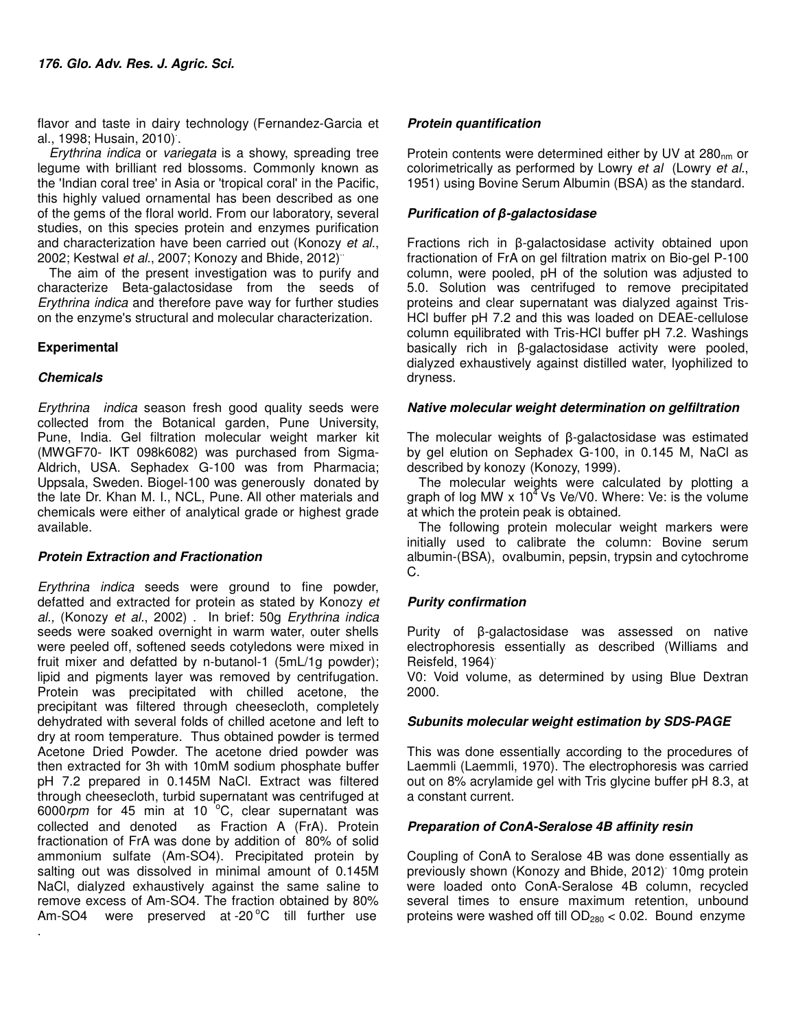flavor and taste in dairy technology (Fernandez-Garcia et al., 1998; Husain, 2010). .

Erythrina indica or variegata is a showy, spreading tree legume with brilliant red blossoms. Commonly known as the 'Indian coral tree' in Asia or 'tropical coral' in the Pacific, this highly valued ornamental has been described as one of the gems of the floral world. From our laboratory, several studies, on this species protein and enzymes purification and characterization have been carried out (Konozy et al., 2002; Kestwal et al., 2007; Konozy and Bhide, 2012)<sup>"</sup>

The aim of the present investigation was to purify and characterize Beta-galactosidase from the seeds of Erythrina indica and therefore pave way for further studies on the enzyme's structural and molecular characterization.

## **Experimental**

## **Chemicals**

.

Erythrina indica season fresh good quality seeds were collected from the Botanical garden, Pune University, Pune, India. Gel filtration molecular weight marker kit (MWGF70- IKT 098k6082) was purchased from Sigma-Aldrich, USA. Sephadex G-100 was from Pharmacia; Uppsala, Sweden. Biogel-100 was generously donated by the late Dr. Khan M. I., NCL, Pune. All other materials and chemicals were either of analytical grade or highest grade available.

## **Protein Extraction and Fractionation**

Erythrina indica seeds were ground to fine powder, defatted and extracted for protein as stated by Konozy et al., (Konozy et al., 2002) . In brief: 50g Erythrina indica seeds were soaked overnight in warm water, outer shells were peeled off, softened seeds cotyledons were mixed in fruit mixer and defatted by n-butanol-1 (5mL/1g powder); lipid and pigments layer was removed by centrifugation. Protein was precipitated with chilled acetone, the precipitant was filtered through cheesecloth, completely dehydrated with several folds of chilled acetone and left to dry at room temperature. Thus obtained powder is termed Acetone Dried Powder. The acetone dried powder was then extracted for 3h with 10mM sodium phosphate buffer pH 7.2 prepared in 0.145M NaCl. Extract was filtered through cheesecloth, turbid supernatant was centrifuged at 6000 $r$ pm for 45 min at 10 $^{6}$ C, clear supernatant was collected and denoted as Fraction A (FrA). Protein fractionation of FrA was done by addition of 80% of solid ammonium sulfate (Am-SO4). Precipitated protein by salting out was dissolved in minimal amount of 0.145M NaCl, dialyzed exhaustively against the same saline to remove excess of Am-SO4. The fraction obtained by 80% Am-SO4 were preserved at  $-20\degree$ C till further use

## **Protein quantification**

Protein contents were determined either by UV at 280<sub>nm</sub> or colorimetrically as performed by Lowry et al (Lowry et al., 1951) using Bovine Serum Albumin (BSA) as the standard.

## **Purification of** *β***-galactosidase**

Fractions rich in β-galactosidase activity obtained upon fractionation of FrA on gel filtration matrix on Bio-gel P-100 column, were pooled, pH of the solution was adjusted to 5.0. Solution was centrifuged to remove precipitated proteins and clear supernatant was dialyzed against Tris-HCl buffer pH 7.2 and this was loaded on DEAE-cellulose column equilibrated with Tris-HCl buffer pH 7.2. Washings basically rich in β-galactosidase activity were pooled, dialyzed exhaustively against distilled water, lyophilized to dryness.

## **Native molecular weight determination on gelfiltration**

The molecular weights of β-galactosidase was estimated by gel elution on Sephadex G-100, in 0.145 M, NaCl as described by konozy (Konozy, 1999).

The molecular weights were calculated by plotting a graph of log MW  $\times$  10<sup>4</sup> Vs Ve/V0. Where: Ve: is the volume at which the protein peak is obtained.

The following protein molecular weight markers were initially used to calibrate the column: Bovine serum albumin-(BSA), ovalbumin, pepsin, trypsin and cytochrome C.

# **Purity confirmation**

Purity of β-galactosidase was assessed on native electrophoresis essentially as described (Williams and Reisfeld, 1964)<sup>.</sup>

V0: Void volume, as determined by using Blue Dextran 2000.

## **Subunits molecular weight estimation by SDS-PAGE**

This was done essentially according to the procedures of Laemmli (Laemmli, 1970). The electrophoresis was carried out on 8% acrylamide gel with Tris glycine buffer pH 8.3, at a constant current.

## **Preparation of ConA-Seralose 4B affinity resin**

Coupling of ConA to Seralose 4B was done essentially as previously shown (Konozy and Bhide, 2012). 10mg protein were loaded onto ConA-Seralose 4B column, recycled several times to ensure maximum retention, unbound proteins were washed off till  $OD_{280} < 0.02$ . Bound enzyme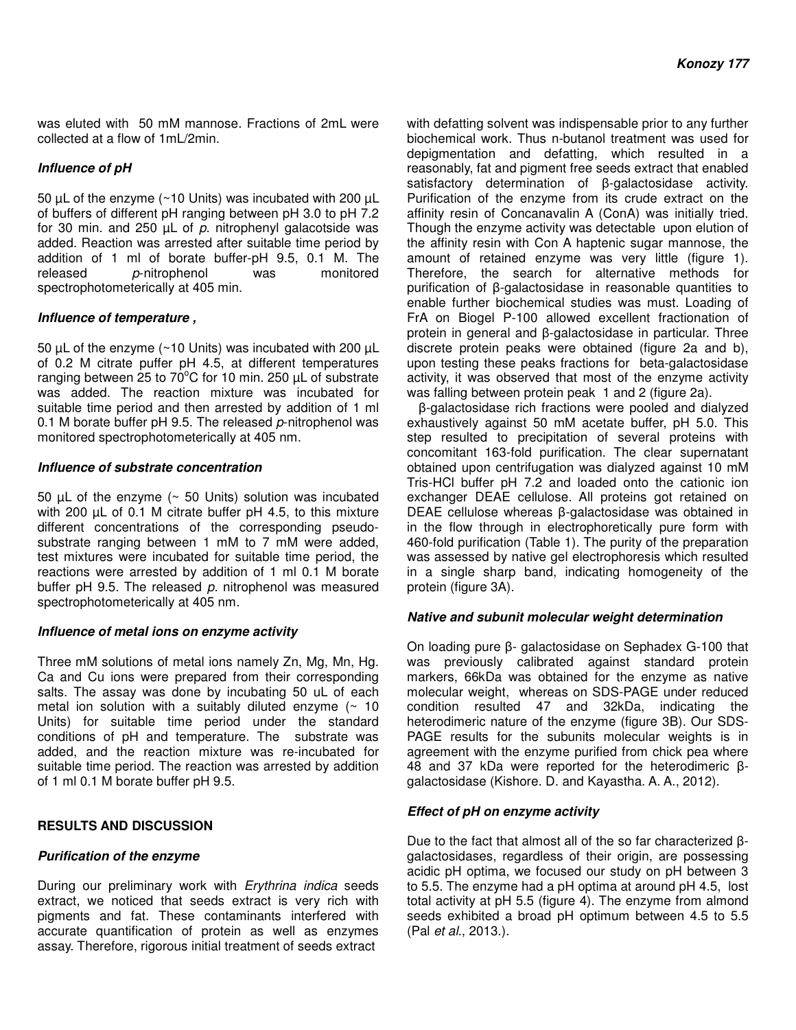was eluted with 50 mM mannose. Fractions of 2mL were collected at a flow of 1mL/2min.

## **Influence of pH**

50 µL of the enzyme (~10 Units) was incubated with 200 µL of buffers of different pH ranging between pH 3.0 to pH 7.2 for 30 min. and 250  $\mu$ L of p. nitrophenyl galacotside was added. Reaction was arrested after suitable time period by addition of 1 ml of borate buffer-pH 9.5, 0.1 M. The released p-nitrophenol was monitored  $p$ -nitrophenol was spectrophotometerically at 405 min.

## **Influence of temperature ,**

50  $\mu$ L of the enzyme (~10 Units) was incubated with 200  $\mu$ L of 0.2 M citrate puffer pH 4.5, at different temperatures ranging between 25 to 70 $^{\circ}$ C for 10 min. 250  $\mu$ L of substrate was added. The reaction mixture was incubated for suitable time period and then arrested by addition of 1 ml 0.1 M borate buffer pH 9.5. The released  $p$ -nitrophenol was monitored spectrophotometerically at 405 nm.

### **Influence of substrate concentration**

50  $\mu$ L of the enzyme ( $\sim$  50 Units) solution was incubated with 200 µL of 0.1 M citrate buffer pH 4.5, to this mixture different concentrations of the corresponding pseudosubstrate ranging between 1 mM to 7 mM were added, test mixtures were incubated for suitable time period, the reactions were arrested by addition of 1 ml 0.1 M borate buffer pH 9.5. The released  $p$ . nitrophenol was measured spectrophotometerically at 405 nm.

### **Influence of metal ions on enzyme activity**

Three mM solutions of metal ions namely Zn, Mg, Mn, Hg. Ca and Cu ions were prepared from their corresponding salts. The assay was done by incubating 50 uL of each metal ion solution with a suitably diluted enzyme  $($  - 10 Units) for suitable time period under the standard conditions of pH and temperature. The substrate was added, and the reaction mixture was re-incubated for suitable time period. The reaction was arrested by addition of 1 ml 0.1 M borate buffer pH 9.5.

### **RESULTS AND DISCUSSION**

### **Purification of the enzyme**

During our preliminary work with Erythrina indica seeds extract, we noticed that seeds extract is very rich with pigments and fat. These contaminants interfered with accurate quantification of protein as well as enzymes assay. Therefore, rigorous initial treatment of seeds extract

with defatting solvent was indispensable prior to any further biochemical work. Thus n-butanol treatment was used for depigmentation and defatting, which resulted in a reasonably, fat and pigment free seeds extract that enabled satisfactory determination of β-galactosidase activity. Purification of the enzyme from its crude extract on the affinity resin of Concanavalin A (ConA) was initially tried. Though the enzyme activity was detectable upon elution of the affinity resin with Con A haptenic sugar mannose, the amount of retained enzyme was very little (figure 1). Therefore, the search for alternative methods for purification of β-galactosidase in reasonable quantities to enable further biochemical studies was must. Loading of FrA on Biogel P-100 allowed excellent fractionation of protein in general and β-galactosidase in particular. Three discrete protein peaks were obtained (figure 2a and b), upon testing these peaks fractions for beta-galactosidase activity, it was observed that most of the enzyme activity was falling between protein peak 1 and 2 (figure 2a).

β-galactosidase rich fractions were pooled and dialyzed exhaustively against 50 mM acetate buffer, pH 5.0. This step resulted to precipitation of several proteins with concomitant 163-fold purification. The clear supernatant obtained upon centrifugation was dialyzed against 10 mM Tris-HCl buffer pH 7.2 and loaded onto the cationic ion exchanger DEAE cellulose. All proteins got retained on DEAE cellulose whereas β-galactosidase was obtained in in the flow through in electrophoretically pure form with 460-fold purification (Table 1). The purity of the preparation was assessed by native gel electrophoresis which resulted in a single sharp band, indicating homogeneity of the protein (figure 3A).

### **Native and subunit molecular weight determination**

On loading pure β- galactosidase on Sephadex G-100 that was previously calibrated against standard protein markers, 66kDa was obtained for the enzyme as native molecular weight, whereas on SDS-PAGE under reduced condition resulted 47 and 32kDa, indicating the heterodimeric nature of the enzyme (figure 3B). Our SDS-PAGE results for the subunits molecular weights is in agreement with the enzyme purified from chick pea where 48 and 37 kDa were reported for the heterodimeric βgalactosidase (Kishore. D. and Kayastha. A. A., 2012).

### **Effect of pH on enzyme activity**

Due to the fact that almost all of the so far characterized βgalactosidases, regardless of their origin, are possessing acidic pH optima, we focused our study on pH between 3 to 5.5. The enzyme had a pH optima at around pH 4.5, lost total activity at pH 5.5 (figure 4). The enzyme from almond seeds exhibited a broad pH optimum between 4.5 to 5.5 (Pal et al., 2013.).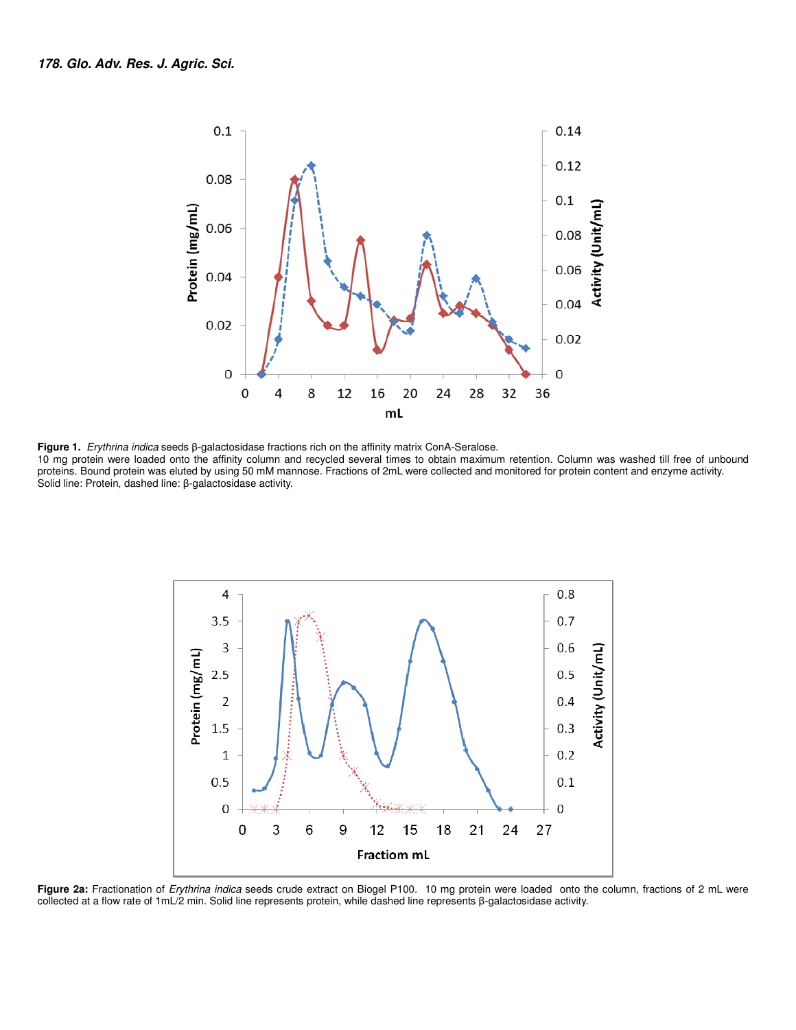

**Figure 1.** Erythrina indica seeds β-galactosidase fractions rich on the affinity matrix ConA-Seralose.

10 mg protein were loaded onto the affinity column and recycled several times to obtain maximum retention. Column was washed till free of unbound proteins. Bound protein was eluted by using 50 mM mannose. Fractions of 2mL were collected and monitored for protein content and enzyme activity. Solid line: Protein, dashed line: β-galactosidase activity.



**Figure 2a:** Fractionation of Erythrina indica seeds crude extract on Biogel P100. 10 mg protein were loaded onto the column, fractions of 2 mL were collected at a flow rate of 1mL/2 min. Solid line represents protein, while dashed line represents β-galactosidase activity.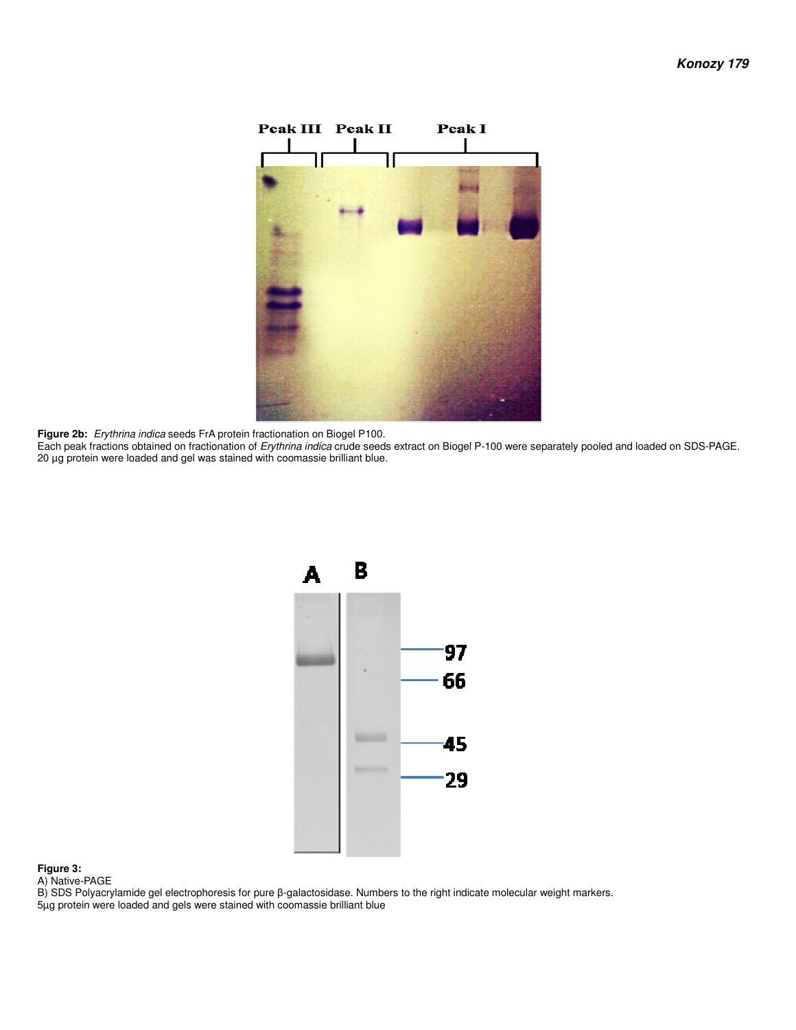

**Figure 2b:** Erythrina indica seeds FrA protein fractionation on Biogel P100.

Each peak fractions obtained on fractionation of Erythrina indica crude seeds extract on Biogel P-100 were separately pooled and loaded on SDS-PAGE. 20 µg protein were loaded and gel was stained with coomassie brilliant blue.



#### **Figure 3:**

A) Native-PAGE

B) SDS Polyacrylamide gel electrophoresis for pure β-galactosidase. Numbers to the right indicate molecular weight markers. 5µg protein were loaded and gels were stained with coomassie brilliant blue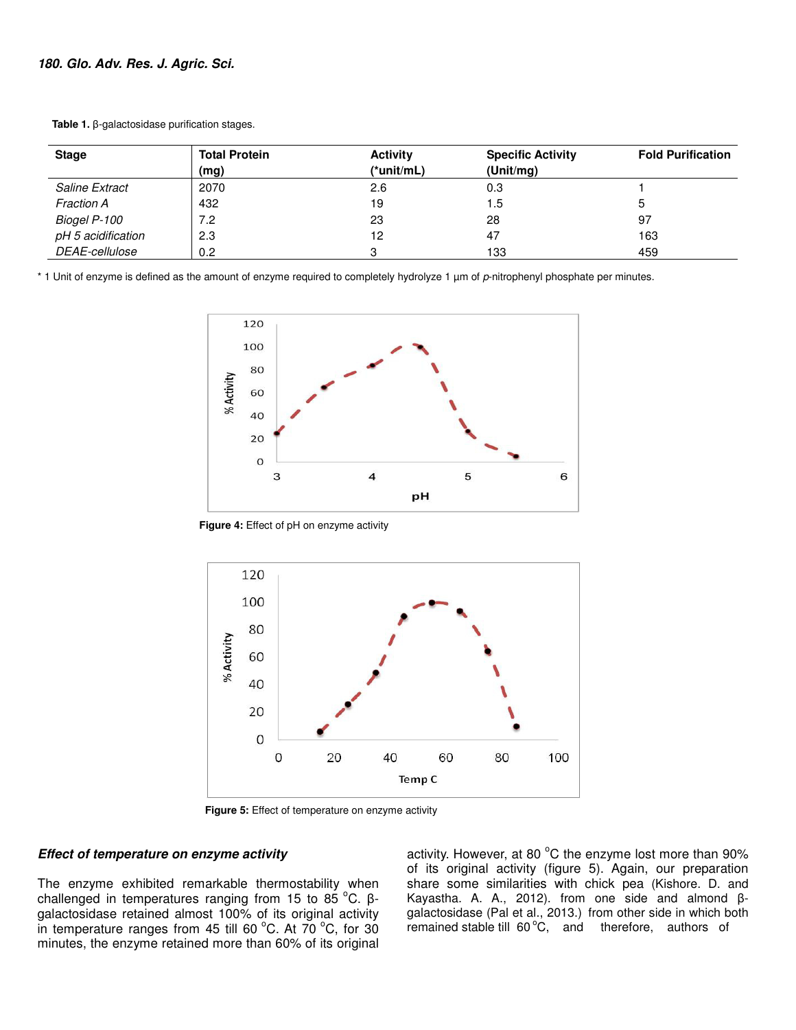| <b>Stage</b>          | <b>Total Protein</b><br>(mg) | <b>Activity</b><br>(*unit/mL) | <b>Specific Activity</b><br>(Unit/mg) | <b>Fold Purification</b> |
|-----------------------|------------------------------|-------------------------------|---------------------------------------|--------------------------|
| <b>Saline Extract</b> | 2070                         | 2.6                           | 0.3                                   |                          |
| <b>Fraction A</b>     | 432                          | 19                            | 1.5                                   | G                        |
| Biogel P-100          | 7.2                          | 23                            | 28                                    | -97                      |
| pH 5 acidification    | 2.3                          | 12                            | 47                                    | 163                      |
| DEAE-cellulose        | 0.2                          |                               | 133                                   | 459                      |

 **Table 1.** β-galactosidase purification stages.

\* 1 Unit of enzyme is defined as the amount of enzyme required to completely hydrolyze 1 µm of p-nitrophenyl phosphate per minutes.



 **Figure 4:** Effect of pH on enzyme activity



 **Figure 5:** Effect of temperature on enzyme activity

#### **Effect of temperature on enzyme activity**

The enzyme exhibited remarkable thermostability when challenged in temperatures ranging from 15 to 85 $^{\circ}$ C. βgalactosidase retained almost 100% of its original activity in temperature ranges from 45 till 60 $^{\circ}$ C. At 70 $^{\circ}$ C, for 30 minutes, the enzyme retained more than 60% of its original activity. However, at 80 $\degree$ C the enzyme lost more than 90% of its original activity (figure 5). Again, our preparation share some similarities with chick pea (Kishore. D. and Kayastha. A. A., 2012). from one side and almond βgalactosidase (Pal et al., 2013.) from other side in which both remained stable till  $60^{\circ}$ C, and therefore, authors of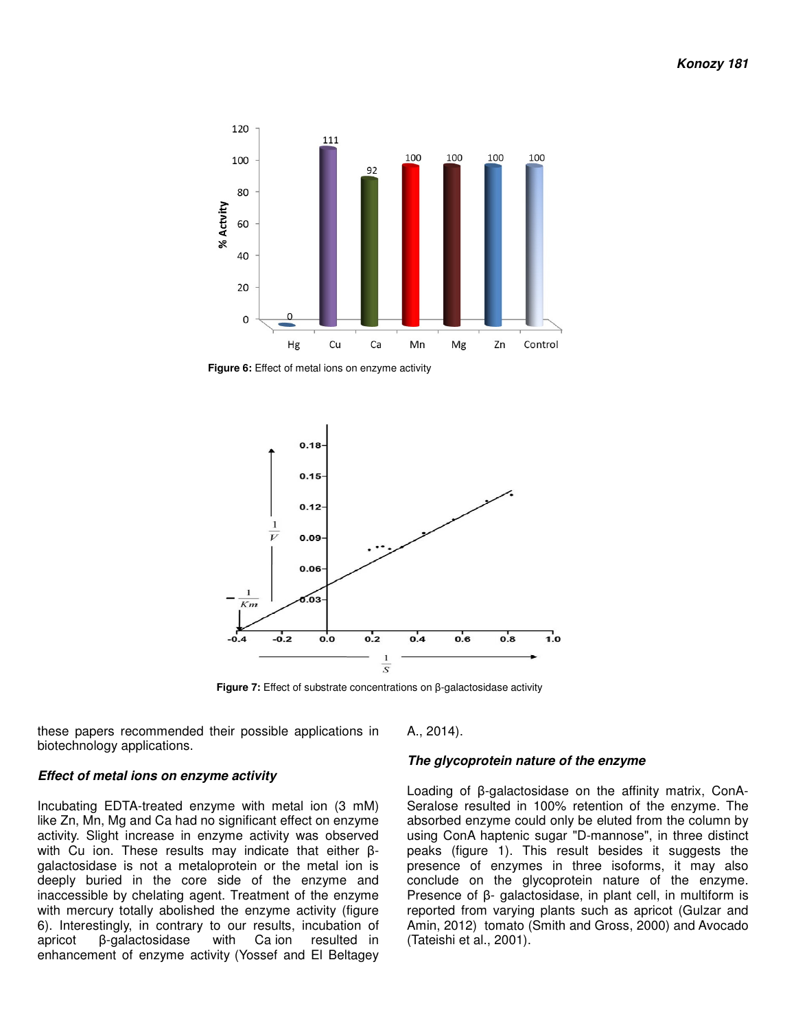

 **Figure 6:** Effect of metal ions on enzyme activity



 **Figure 7:** Effect of substrate concentrations on β-galactosidase activity

these papers recommended their possible applications in biotechnology applications.

A., 2014).

#### **The glycoprotein nature of the enzyme**

Loading of β-galactosidase on the affinity matrix, ConA-Seralose resulted in 100% retention of the enzyme. The absorbed enzyme could only be eluted from the column by using ConA haptenic sugar "D-mannose", in three distinct peaks (figure 1). This result besides it suggests the presence of enzymes in three isoforms, it may also conclude on the glycoprotein nature of the enzyme. Presence of β- galactosidase, in plant cell, in multiform is reported from varying plants such as apricot (Gulzar and Amin, 2012) tomato (Smith and Gross, 2000) and Avocado (Tateishi et al., 2001).

#### **Effect of metal ions on enzyme activity**

Incubating EDTA-treated enzyme with metal ion (3 mM) like Zn, Mn, Mg and Ca had no significant effect on enzyme activity. Slight increase in enzyme activity was observed with Cu ion. These results may indicate that either βgalactosidase is not a metaloprotein or the metal ion is deeply buried in the core side of the enzyme and inaccessible by chelating agent. Treatment of the enzyme with mercury totally abolished the enzyme activity (figure 6). Interestingly, in contrary to our results, incubation of apricot β-galactosidase with Ca ion resulted in enhancement of enzyme activity (Yossef and El Beltagey